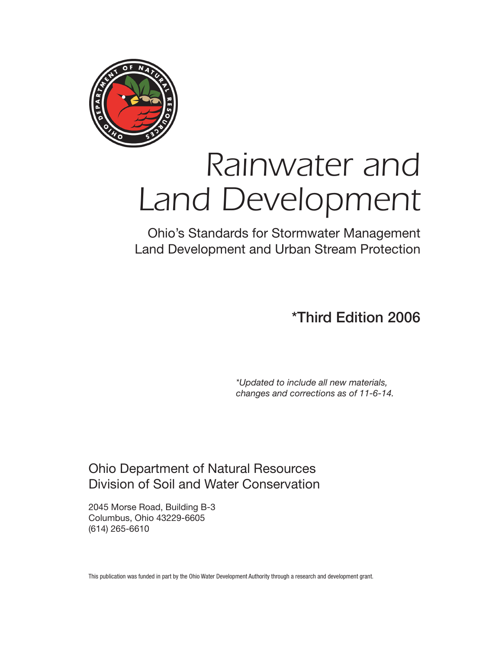

# *Rainwater and Land Development*

Ohio's Standards for Stormwater Management Land Development and Urban Stream Protection

\*Third Edition 2006

*\*Updated to include all new materials, changes and corrections as of 11-6-14.*

Ohio Department of Natural Resources Division of Soil and Water Conservation

2045 Morse Road, Building B-3 Columbus, Ohio 43229-6605 (614) 265-6610

This publication was funded in part by the Ohio Water Development Authority through a research and development grant.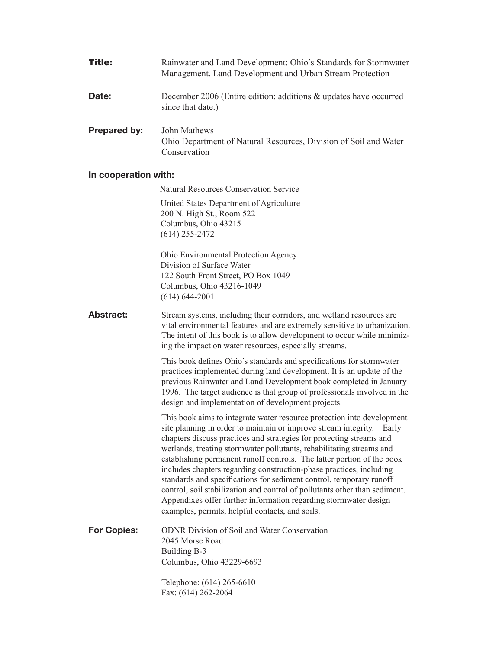| <b>Title:</b>        | Rainwater and Land Development: Ohio's Standards for Stormwater<br>Management, Land Development and Urban Stream Protection                                                                                                                                                                                                                                                                                                                                                                                                                                                                                                                                                                                                  |  |  |  |
|----------------------|------------------------------------------------------------------------------------------------------------------------------------------------------------------------------------------------------------------------------------------------------------------------------------------------------------------------------------------------------------------------------------------------------------------------------------------------------------------------------------------------------------------------------------------------------------------------------------------------------------------------------------------------------------------------------------------------------------------------------|--|--|--|
| Date:                | December 2006 (Entire edition; additions & updates have occurred<br>since that date.)                                                                                                                                                                                                                                                                                                                                                                                                                                                                                                                                                                                                                                        |  |  |  |
| Prepared by:         | John Mathews<br>Ohio Department of Natural Resources, Division of Soil and Water<br>Conservation                                                                                                                                                                                                                                                                                                                                                                                                                                                                                                                                                                                                                             |  |  |  |
| In cooperation with: |                                                                                                                                                                                                                                                                                                                                                                                                                                                                                                                                                                                                                                                                                                                              |  |  |  |
|                      | <b>Natural Resources Conservation Service</b>                                                                                                                                                                                                                                                                                                                                                                                                                                                                                                                                                                                                                                                                                |  |  |  |
|                      | United States Department of Agriculture<br>200 N. High St., Room 522<br>Columbus, Ohio 43215<br>$(614)$ 255-2472                                                                                                                                                                                                                                                                                                                                                                                                                                                                                                                                                                                                             |  |  |  |
|                      | Ohio Environmental Protection Agency<br>Division of Surface Water<br>122 South Front Street, PO Box 1049<br>Columbus, Ohio 43216-1049<br>$(614) 644 - 2001$                                                                                                                                                                                                                                                                                                                                                                                                                                                                                                                                                                  |  |  |  |
| <b>Abstract:</b>     | Stream systems, including their corridors, and wetland resources are<br>vital environmental features and are extremely sensitive to urbanization.<br>The intent of this book is to allow development to occur while minimiz-<br>ing the impact on water resources, especially streams.                                                                                                                                                                                                                                                                                                                                                                                                                                       |  |  |  |
|                      | This book defines Ohio's standards and specifications for stormwater<br>practices implemented during land development. It is an update of the<br>previous Rainwater and Land Development book completed in January<br>1996. The target audience is that group of professionals involved in the<br>design and implementation of development projects.                                                                                                                                                                                                                                                                                                                                                                         |  |  |  |
|                      | This book aims to integrate water resource protection into development<br>site planning in order to maintain or improve stream integrity. Early<br>chapters discuss practices and strategies for protecting streams and<br>wetlands, treating stormwater pollutants, rehabilitating streams and<br>establishing permanent runoff controls. The latter portion of the book<br>includes chapters regarding construction-phase practices, including<br>standards and specifications for sediment control, temporary runoff<br>control, soil stabilization and control of pollutants other than sediment.<br>Appendixes offer further information regarding stormwater design<br>examples, permits, helpful contacts, and soils. |  |  |  |
| <b>For Copies:</b>   | <b>ODNR</b> Division of Soil and Water Conservation<br>2045 Morse Road<br>Building B-3<br>Columbus, Ohio 43229-6693                                                                                                                                                                                                                                                                                                                                                                                                                                                                                                                                                                                                          |  |  |  |
|                      | Telephone: (614) 265-6610<br>Fax: (614) 262-2064                                                                                                                                                                                                                                                                                                                                                                                                                                                                                                                                                                                                                                                                             |  |  |  |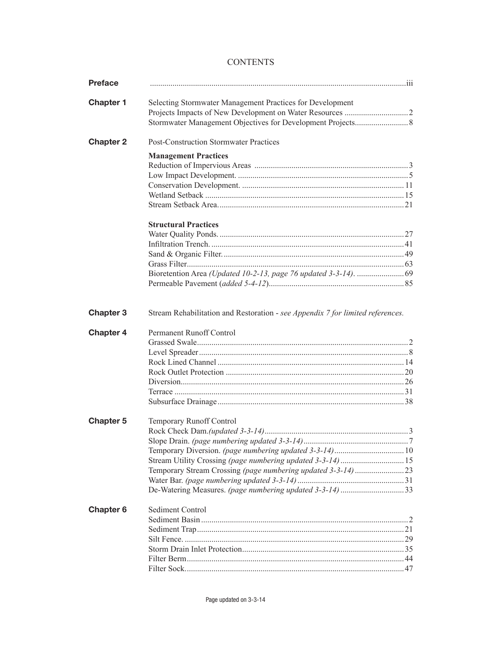## **CONTENTS**

| <b>Preface</b>       |                                                           |  |
|----------------------|-----------------------------------------------------------|--|
| <b>Chapter 1</b>     | Selecting Stormwater Management Practices for Development |  |
|                      |                                                           |  |
|                      |                                                           |  |
| <b>Chapter 2</b>     | <b>Post-Construction Stormwater Practices</b>             |  |
|                      | <b>Management Practices</b>                               |  |
|                      |                                                           |  |
|                      |                                                           |  |
|                      |                                                           |  |
|                      |                                                           |  |
|                      |                                                           |  |
|                      | <b>Structural Practices</b>                               |  |
|                      |                                                           |  |
|                      |                                                           |  |
|                      |                                                           |  |
|                      |                                                           |  |
|                      |                                                           |  |
|                      |                                                           |  |
| <b>Chapter 4</b>     | Permanent Runoff Control                                  |  |
|                      |                                                           |  |
|                      |                                                           |  |
| <b>Chapter 5</b>     | Temporary Runoff Control                                  |  |
|                      |                                                           |  |
|                      |                                                           |  |
|                      |                                                           |  |
|                      |                                                           |  |
|                      |                                                           |  |
|                      |                                                           |  |
|                      | De-Watering Measures. (page numbering updated 3-3-14) 33  |  |
| Chapter <sub>6</sub> | <b>Sediment Control</b>                                   |  |
|                      |                                                           |  |
|                      |                                                           |  |
|                      |                                                           |  |
|                      |                                                           |  |
|                      |                                                           |  |
|                      |                                                           |  |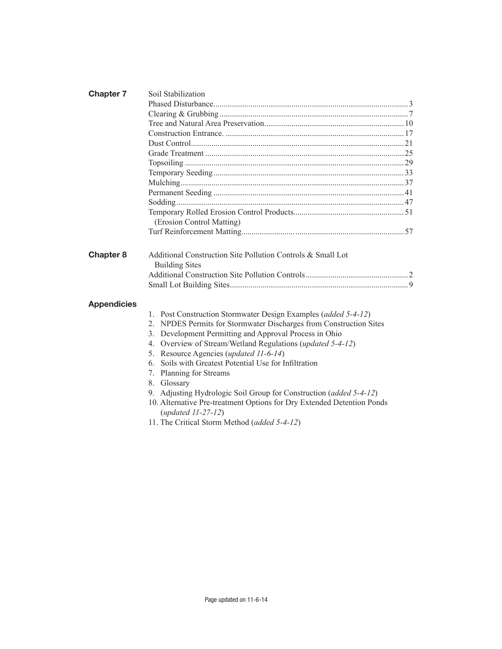| <b>Chapter 7</b>   | Soil Stabilization                                                                                                                                                                                                                                                                                                                                                                                                                                                                                                                                                                              |  |
|--------------------|-------------------------------------------------------------------------------------------------------------------------------------------------------------------------------------------------------------------------------------------------------------------------------------------------------------------------------------------------------------------------------------------------------------------------------------------------------------------------------------------------------------------------------------------------------------------------------------------------|--|
|                    |                                                                                                                                                                                                                                                                                                                                                                                                                                                                                                                                                                                                 |  |
|                    |                                                                                                                                                                                                                                                                                                                                                                                                                                                                                                                                                                                                 |  |
|                    |                                                                                                                                                                                                                                                                                                                                                                                                                                                                                                                                                                                                 |  |
|                    |                                                                                                                                                                                                                                                                                                                                                                                                                                                                                                                                                                                                 |  |
|                    |                                                                                                                                                                                                                                                                                                                                                                                                                                                                                                                                                                                                 |  |
|                    |                                                                                                                                                                                                                                                                                                                                                                                                                                                                                                                                                                                                 |  |
|                    |                                                                                                                                                                                                                                                                                                                                                                                                                                                                                                                                                                                                 |  |
|                    |                                                                                                                                                                                                                                                                                                                                                                                                                                                                                                                                                                                                 |  |
|                    |                                                                                                                                                                                                                                                                                                                                                                                                                                                                                                                                                                                                 |  |
|                    |                                                                                                                                                                                                                                                                                                                                                                                                                                                                                                                                                                                                 |  |
|                    |                                                                                                                                                                                                                                                                                                                                                                                                                                                                                                                                                                                                 |  |
|                    |                                                                                                                                                                                                                                                                                                                                                                                                                                                                                                                                                                                                 |  |
|                    | (Erosion Control Matting)                                                                                                                                                                                                                                                                                                                                                                                                                                                                                                                                                                       |  |
|                    |                                                                                                                                                                                                                                                                                                                                                                                                                                                                                                                                                                                                 |  |
|                    |                                                                                                                                                                                                                                                                                                                                                                                                                                                                                                                                                                                                 |  |
| <b>Chapter 8</b>   | Additional Construction Site Pollution Controls & Small Lot<br><b>Building Sites</b>                                                                                                                                                                                                                                                                                                                                                                                                                                                                                                            |  |
|                    |                                                                                                                                                                                                                                                                                                                                                                                                                                                                                                                                                                                                 |  |
|                    |                                                                                                                                                                                                                                                                                                                                                                                                                                                                                                                                                                                                 |  |
| <b>Appendicies</b> |                                                                                                                                                                                                                                                                                                                                                                                                                                                                                                                                                                                                 |  |
|                    | 1. Post Construction Stormwater Design Examples (added 5-4-12)<br>NPDES Permits for Stormwater Discharges from Construction Sites<br>2.<br>3. Development Permitting and Approval Process in Ohio<br>4. Overview of Stream/Wetland Regulations (updated 5-4-12)<br>5. Resource Agencies (updated 11-6-14)<br>Soils with Greatest Potential Use for Infiltration<br>6.<br>7. Planning for Streams<br>8. Glossary<br>9. Adjusting Hydrologic Soil Group for Construction (added 5-4-12)<br>10. Alternative Pre-treatment Options for Dry Extended Detention Ponds<br>$(\text{updated } 11-27-12)$ |  |
|                    | 11. The Critical Storm Method (added 5-4-12)                                                                                                                                                                                                                                                                                                                                                                                                                                                                                                                                                    |  |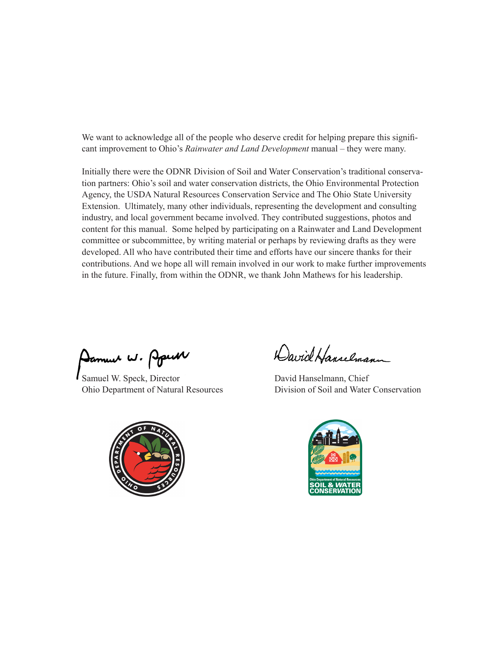We want to acknowledge all of the people who deserve credit for helping prepare this significant improvement to Ohio's *Rainwater and Land Development* manual – they were many.

Initially there were the ODNR Division of Soil and Water Conservation's traditional conservation partners: Ohio's soil and water conservation districts, the Ohio Environmental Protection Agency, the USDA Natural Resources Conservation Service and The Ohio State University Extension. Ultimately, many other individuals, representing the development and consulting industry, and local government became involved. They contributed suggestions, photos and content for this manual. Some helped by participating on a Rainwater and Land Development committee or subcommittee, by writing material or perhaps by reviewing drafts as they were developed. All who have contributed their time and efforts have our sincere thanks for their contributions. And we hope all will remain involved in our work to make further improvements in the future. Finally, from within the ODNR, we thank John Mathews for his leadership.

Damun W. PpuM

Samuel W. Speck, Director David Hanselmann, Chief



David Hanselmann

Ohio Department of Natural Resources Division of Soil and Water Conservation

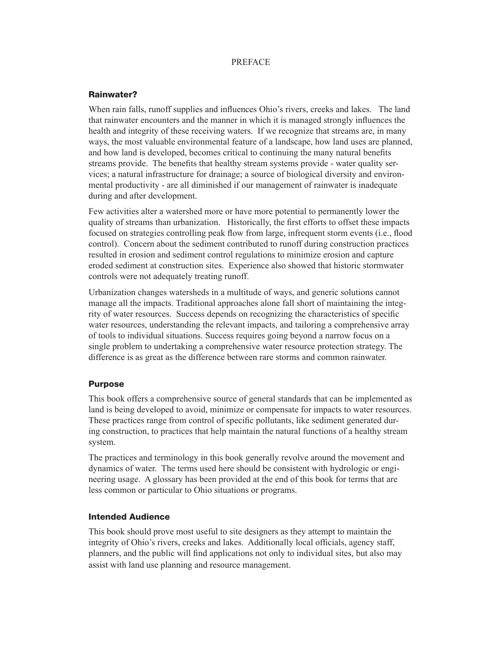### PREFACE

## Rainwater?

When rain falls, runoff supplies and influences Ohio's rivers, creeks and lakes. The land that rainwater encounters and the manner in which it is managed strongly influences the health and integrity of these receiving waters. If we recognize that streams are, in many ways, the most valuable environmental feature of a landscape, how land uses are planned, and how land is developed, becomes critical to continuing the many natural benefits streams provide. The benefits that healthy stream systems provide - water quality services; a natural infrastructure for drainage; a source of biological diversity and environmental productivity - are all diminished if our management of rainwater is inadequate during and after development.

Few activities alter a watershed more or have more potential to permanently lower the quality of streams than urbanization. Historically, the first efforts to offset these impacts focused on strategies controlling peak flow from large, infrequent storm events (i.e., flood control). Concern about the sediment contributed to runoff during construction practices resulted in erosion and sediment control regulations to minimize erosion and capture eroded sediment at construction sites. Experience also showed that historic stormwater controls were not adequately treating runoff.

Urbanization changes watersheds in a multitude of ways, and generic solutions cannot manage all the impacts. Traditional approaches alone fall short of maintaining the integrity of water resources. Success depends on recognizing the characteristics of specific water resources, understanding the relevant impacts, and tailoring a comprehensive array of tools to individual situations. Success requires going beyond a narrow focus on a single problem to undertaking a comprehensive water resource protection strategy. The difference is as great as the difference between rare storms and common rainwater.

### Purpose

This book offers a comprehensive source of general standards that can be implemented as land is being developed to avoid, minimize or compensate for impacts to water resources. These practices range from control of specific pollutants, like sediment generated during construction, to practices that help maintain the natural functions of a healthy stream system.

The practices and terminology in this book generally revolve around the movement and dynamics of water. The terms used here should be consistent with hydrologic or engineering usage. A glossary has been provided at the end of this book for terms that are less common or particular to Ohio situations or programs.

### Intended Audience

This book should prove most useful to site designers as they attempt to maintain the integrity of Ohio's rivers, creeks and lakes. Additionally local officials, agency staff, planners, and the public will find applications not only to individual sites, but also may assist with land use planning and resource management.